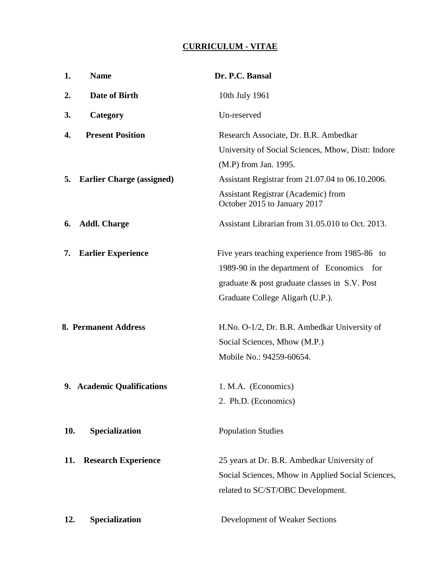### **CURRICULUM - VITAE**

| 1.                          | <b>Name</b>                      | Dr. P.C. Bansal                                                            |
|-----------------------------|----------------------------------|----------------------------------------------------------------------------|
| 2.                          | <b>Date of Birth</b>             | 10th July 1961                                                             |
| 3.                          | Category                         | Un-reserved                                                                |
| 4.                          | <b>Present Position</b>          | Research Associate, Dr. B.R. Ambedkar                                      |
|                             |                                  | University of Social Sciences, Mhow, Distt: Indore                         |
|                             |                                  | (M.P) from Jan. 1995.                                                      |
| 5.                          | <b>Earlier Charge (assigned)</b> | Assistant Registrar from 21.07.04 to 06.10.2006.                           |
|                             |                                  | <b>Assistant Registrar (Academic) from</b><br>October 2015 to January 2017 |
| 6.                          | <b>Addl. Charge</b>              | Assistant Librarian from 31.05.010 to Oct. 2013.                           |
| 7.                          | <b>Earlier Experience</b>        | Five years teaching experience from 1985-86 to                             |
|                             |                                  | 1989-90 in the department of Economics for                                 |
|                             |                                  | graduate & post graduate classes in S.V. Post                              |
|                             |                                  | Graduate College Aligarh (U.P.).                                           |
| <b>8. Permanent Address</b> |                                  | H.No. O-1/2, Dr. B.R. Ambedkar University of                               |
|                             |                                  | Social Sciences, Mhow (M.P.)                                               |
|                             |                                  | Mobile No.: 94259-60654.                                                   |
|                             |                                  |                                                                            |
|                             | 9. Academic Qualifications       | 1. M.A. (Economics)                                                        |
|                             |                                  | 2. Ph.D. (Economics)                                                       |
| 10.                         | Specialization                   | <b>Population Studies</b>                                                  |
| 11.                         | <b>Research Experience</b>       | 25 years at Dr. B.R. Ambedkar University of                                |
|                             |                                  | Social Sciences, Mhow in Applied Social Sciences,                          |
|                             |                                  | related to SC/ST/OBC Development.                                          |
| 12.                         | Specialization                   | Development of Weaker Sections                                             |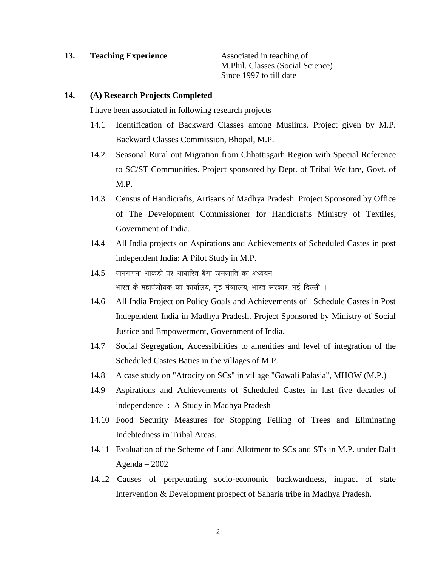### **13. Teaching Experience** Associated in teaching of

 M.Phil. Classes (Social Science) Since 1997 to till date

### **14. (A) Research Projects Completed**

I have been associated in following research projects

- 14.1 Identification of Backward Classes among Muslims. Project given by M.P. Backward Classes Commission, Bhopal, M.P.
- 14.2 Seasonal Rural out Migration from Chhattisgarh Region with Special Reference to SC/ST Communities. Project sponsored by Dept. of Tribal Welfare, Govt. of M.P.
- 14.3 Census of Handicrafts, Artisans of Madhya Pradesh. Project Sponsored by Office of The Development Commissioner for Handicrafts Ministry of Textiles, Government of India.
- 14.4 All India projects on Aspirations and Achievements of Scheduled Castes in post independent India: A Pilot Study in M.P.
- $14.5$  जनगणना आकड़ो पर आधारित बैगा जनजाति का अध्ययन। भारत के महापंजीयक का कार्यालय, गृह मंत्राालय, भारत सरकार, नई दिल्ली ।
- 14.6 All India Project on Policy Goals and Achievements of Schedule Castes in Post Independent India in Madhya Pradesh. Project Sponsored by Ministry of Social Justice and Empowerment, Government of India.
- 14.7 Social Segregation, Accessibilities to amenities and level of integration of the Scheduled Castes Baties in the villages of M.P.
- 14.8 A case study on "Atrocity on SCs" in village "Gawali Palasia", MHOW (M.P.)
- 14.9 Aspirations and Achievements of Scheduled Castes in last five decades of independence : A Study in Madhya Pradesh
- 14.10 Food Security Measures for Stopping Felling of Trees and Eliminating Indebtedness in Tribal Areas.
- 14.11 Evaluation of the Scheme of Land Allotment to SCs and STs in M.P. under Dalit Agenda – 2002
- 14.12 Causes of perpetuating socio-economic backwardness, impact of state Intervention & Development prospect of Saharia tribe in Madhya Pradesh.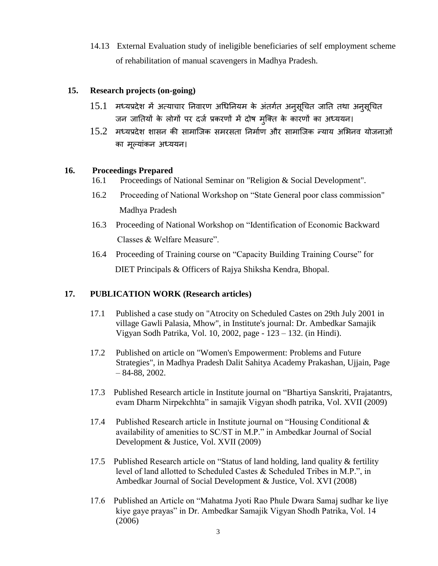14.13 External Evaluation study of ineligible beneficiaries of self employment scheme of rehabilitation of manual scavengers in Madhya Pradesh.

# **15. Research projects (on-going)**

- $15.1$  मध्यप्रदेश में अत्याचार निवारण अधिनियम के अंतर्गत अनुसूचित जाति तथा अनुसूचित जन जातियों के लोगों पर दर्ज प्रकरणों में दोष मुक्ति के कारणों का अध्ययन।
- $15.2$  मध्यप्रदेश शासन की सामाजिक समरसता निर्माण और सामाजिक न्याय अभिनव योजनाओं का मूल्यांकन अध्ययन।

# **16. Proceedings Prepared**

- 16.1 Proceedings of National Seminar on "Religion & Social Development".
- 16.2 Proceeding of National Workshop on "State General poor class commission" Madhya Pradesh
- 16.3 Proceeding of National Workshop on "Identification of Economic Backward Classes & Welfare Measure".
- 16.4 Proceeding of Training course on "Capacity Building Training Course" for DIET Principals & Officers of Rajya Shiksha Kendra, Bhopal.

# **17. PUBLICATION WORK (Research articles)**

- 17.1 Published a case study on "Atrocity on Scheduled Castes on 29th July 2001 in village Gawli Palasia, Mhow", in Institute's journal: Dr. Ambedkar Samajik Vigyan Sodh Patrika, Vol. 10, 2002, page - 123 – 132. (in Hindi).
- 17.2 Published on article on "Women's Empowerment: Problems and Future Strategies", in Madhya Pradesh Dalit Sahitya Academy Prakashan, Ujjain, Page – 84-88, 2002.
- 17.3 Published Research article in Institute journal on "Bhartiya Sanskriti, Prajatantrs, evam Dharm Nirpekchhta" in samajik Vigyan shodh patrika, Vol. XVII (2009)
- 17.4 Published Research article in Institute journal on "Housing Conditional & availability of amenities to SC/ST in M.P." in Ambedkar Journal of Social Development & Justice, Vol. XVII (2009)
- 17.5 Published Research article on "Status of land holding, land quality & fertility level of land allotted to Scheduled Castes & Scheduled Tribes in M.P.", in Ambedkar Journal of Social Development & Justice, Vol. XVI (2008)
- 17.6 Published an Article on "Mahatma Jyoti Rao Phule Dwara Samaj sudhar ke liye kiye gaye prayas" in Dr. Ambedkar Samajik Vigyan Shodh Patrika, Vol. 14 (2006)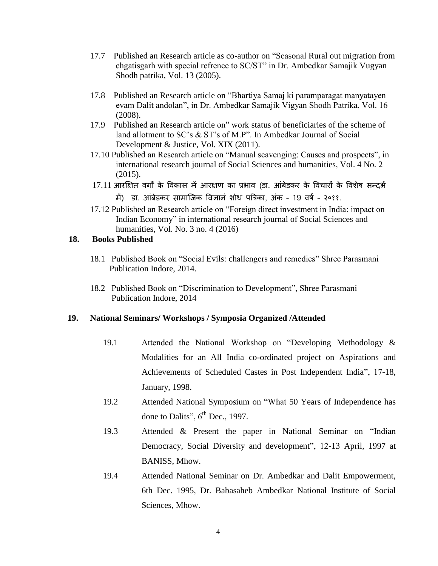- 17.7 Published an Research article as co-author on "Seasonal Rural out migration from chgatisgarh with special refrence to SC/ST" in Dr. Ambedkar Samajik Vugyan Shodh patrika, Vol. 13 (2005).
- 17.8 Published an Research article on "Bhartiya Samaj ki paramparagat manyatayen evam Dalit andolan", in Dr. Ambedkar Samajik Vigyan Shodh Patrika, Vol. 16 (2008).
- 17.9 Published an Research article on" work status of beneficiaries of the scheme of land allotment to SC's & ST's of M.P". In Ambedkar Journal of Social Development & Justice, Vol. XIX (2011).
- 17.10 Published an Research article on "Manual scavenging: Causes and prospects", in international research journal of Social Sciences and humanities, Vol. 4 No. 2 (2015).
- 17.11 आरक्षित वर्गों के विकास में आरक्षण का प्रभाव (डा. आंबेडकर के विचारों के विशेष सन्दर्भ में) डा. आंबेडकर सामाजिक विज्ञान शोध पत्रिका, अंक - 19 वर्ष - २०११.
- 17.12 Published an Research article on "Foreign direct investment in India: impact on Indian Economy" in international research journal of Social Sciences and humanities, Vol. No. 3 no. 4 (2016)

### **18. Books Published**

- 18.1 Published Book on "Social Evils: challengers and remedies" Shree Parasmani Publication Indore, 2014.
- 18.2 Published Book on "Discrimination to Development", Shree Parasmani Publication Indore, 2014

# **19. National Seminars/ Workshops / Symposia Organized /Attended**

- 19.1 Attended the National Workshop on "Developing Methodology & Modalities for an All India co-ordinated project on Aspirations and Achievements of Scheduled Castes in Post Independent India", 17-18, January, 1998.
- 19.2 Attended National Symposium on "What 50 Years of Independence has done to Dalits",  $6<sup>th</sup>$  Dec., 1997.
- 19.3 Attended & Present the paper in National Seminar on "Indian Democracy, Social Diversity and development", 12-13 April, 1997 at BANISS, Mhow.
- 19.4 Attended National Seminar on Dr. Ambedkar and Dalit Empowerment, 6th Dec. 1995, Dr. Babasaheb Ambedkar National Institute of Social Sciences, Mhow.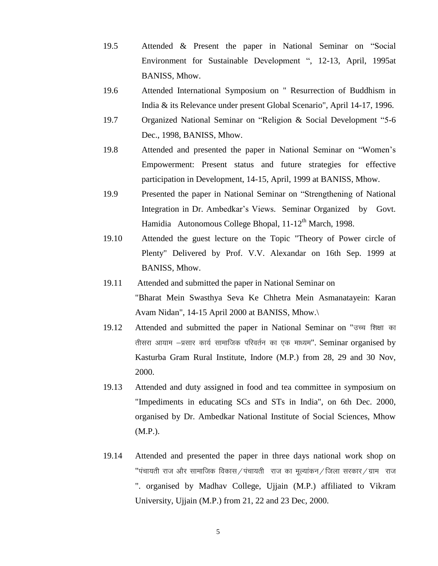- 19.5 Attended & Present the paper in National Seminar on "Social Environment for Sustainable Development ", 12-13, April, 1995at BANISS, Mhow.
- 19.6 Attended International Symposium on " Resurrection of Buddhism in India & its Relevance under present Global Scenario", April 14-17, 1996.
- 19.7 Organized National Seminar on "Religion & Social Development "5-6 Dec., 1998, BANISS, Mhow.
- 19.8 Attended and presented the paper in National Seminar on "Women's Empowerment: Present status and future strategies for effective participation in Development, 14-15, April, 1999 at BANISS, Mhow.
- 19.9 Presented the paper in National Seminar on "Strengthening of National Integration in Dr. Ambedkar's Views. Seminar Organized by Govt. Hamidia Autonomous College Bhopal, 11-12<sup>th</sup> March, 1998.
- 19.10 Attended the guest lecture on the Topic "Theory of Power circle of Plenty" Delivered by Prof. V.V. Alexandar on 16th Sep. 1999 at BANISS, Mhow.
- 19.11 Attended and submitted the paper in National Seminar on "Bharat Mein Swasthya Seva Ke Chhetra Mein Asmanatayein: Karan Avam Nidan", 14-15 April 2000 at BANISS, Mhow.\
- 19.12 Attended and submitted the paper in National Seminar on "उच्च शिक्षा का तीसरा आयाम  $-$ प्रसार कार्य सामाजिक परिवर्तन का एक माध्यम". Seminar organised by Kasturba Gram Rural Institute, Indore (M.P.) from 28, 29 and 30 Nov, 2000.
- 19.13 Attended and duty assigned in food and tea committee in symposium on "Impediments in educating SCs and STs in India", on 6th Dec. 2000, organised by Dr. Ambedkar National Institute of Social Sciences, Mhow (M.P.).
- 19.14 Attended and presented the paper in three days national work shop on "पंचायती राज और सामाजिक विकास/पंचायती) राज का मूल्यांकन/जिला सरकार/ग्राम) राज ". organised by Madhav College, Ujjain (M.P.) affiliated to Vikram University, Ujjain (M.P.) from 21, 22 and 23 Dec, 2000.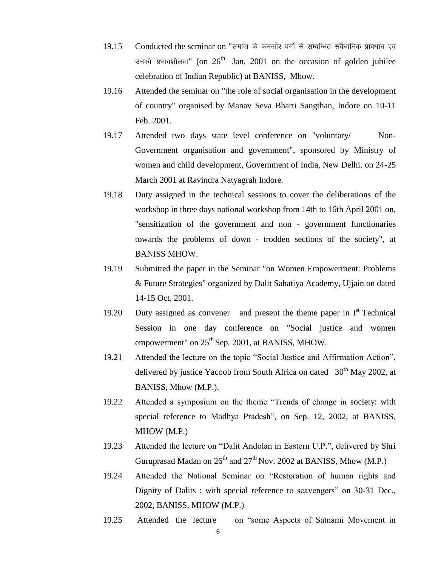- 19.15 Conducted the seminar on "समाज के कमजोर वर्गो से सम्बन्धित संवैधानिक प्रावधान एवं उनकी प्रभावशीलता" (on  $26<sup>th</sup>$  Jan, 2001 on the occasion of golden jubilee celebration of Indian Republic) at BANISS, Mhow.
- 19.16 Attended the seminar on "the role of social organisation in the development of country" organised by Manav Seva Bharti Sangthan, Indore on 10-11 Feb. 2001.
- 19.17 Attended two days state level conference on "voluntary/ Non-Government organisation and government", sponsored by Ministry of women and child development, Government of India, New Delhi. on 24-25 March 2001 at Ravindra Natyagrah Indore.
- 19.18 Duty assigned in the technical sessions to cover the deliberations of the workshop in three days national workshop from 14th to 16th April 2001 on, "sensitization of the government and non - government functionaries towards the problems of down - trodden sections of the society", at BANISS MHOW.
- 19.19 Submitted the paper in the Seminar "on Women Empowerment: Problems & Future Strategies" organized by Dalit Sahatiya Academy, Ujjain on dated 14-15 Oct. 2001.
- 19.20 Duty assigned as convener and present the theme paper in  $I<sup>st</sup>$  Technical Session in one day conference on "Social justice and women empowerment" on  $25<sup>th</sup>$  Sep. 2001, at BANISS, MHOW.
- 19.21 Attended the lecture on the topic "Social Justice and Affirmation Action", delivered by justice Yacoob from South Africa on dated  $30<sup>th</sup>$  May 2002, at BANISS, Mhow (M.P.).
- 19.22 Attended a symposium on the theme "Trends of change in society: with special reference to Madhya Pradesh", on Sep. 12, 2002, at BANISS, MHOW (M.P.)
- 19.23 Attended the lecture on "Dalit Andolan in Eastern U.P.", delivered by Shri Guruprasad Madan on  $26^{th}$  and  $27^{th}$  Nov. 2002 at BANISS, Mhow (M.P.)
- 19.24 Attended the National Seminar on "Restoration of human rights and Dignity of Dalits : with special reference to scavengers" on 30-31 Dec., 2002, BANISS, MHOW (M.P.)
- 19.25 Attended the lecture on "some Aspects of Satnami Movement in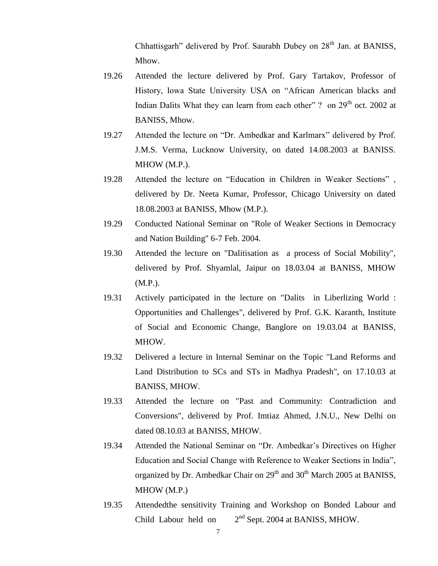Chhattisgarh" delivered by Prof. Saurabh Dubey on  $28<sup>th</sup>$  Jan. at BANISS, Mhow.

- 19.26 Attended the lecture delivered by Prof. Gary Tartakov, Professor of History, lowa State University USA on "African American blacks and Indian Dalits What they can learn from each other" ? on  $29<sup>th</sup>$  oct. 2002 at BANISS, Mhow.
- 19.27 Attended the lecture on "Dr. Ambedkar and Karlmarx" delivered by Prof. J.M.S. Verma, Lucknow University, on dated 14.08.2003 at BANISS. MHOW (M.P.).
- 19.28 Attended the lecture on "Education in Children in Weaker Sections" , delivered by Dr. Neeta Kumar, Professor, Chicago University on dated 18.08.2003 at BANISS, Mhow (M.P.).
- 19.29 Conducted National Seminar on "Role of Weaker Sections in Democracy and Nation Building" 6-7 Feb. 2004.
- 19.30 Attended the lecture on "Dalitisation as a process of Social Mobility", delivered by Prof. Shyamlal, Jaipur on 18.03.04 at BANISS, MHOW (M.P.).
- 19.31 Actively participated in the lecture on "Dalits in Liberlizing World : Opportunities and Challenges", delivered by Prof. G.K. Karanth, Institute of Social and Economic Change, Banglore on 19.03.04 at BANISS, MHOW.
- 19.32 Delivered a lecture in Internal Seminar on the Topic "Land Reforms and Land Distribution to SCs and STs in Madhya Pradesh", on 17.10.03 at BANISS, MHOW.
- 19.33 Attended the lecture on "Past and Community: Contradiction and Conversions", delivered by Prof. Imtiaz Ahmed, J.N.U., New Delhi on dated 08.10.03 at BANISS, MHOW.
- 19.34 Attended the National Seminar on "Dr. Ambedkar's Directives on Higher Education and Social Change with Reference to Weaker Sections in India", organized by Dr. Ambedkar Chair on  $29<sup>th</sup>$  and  $30<sup>th</sup>$  March 2005 at BANISS, MHOW (M.P.)
- 19.35 Attendedthe sensitivity Training and Workshop on Bonded Labour and Child Labour held on  $2<sup>nd</sup>$  Sept. 2004 at BANISS, MHOW.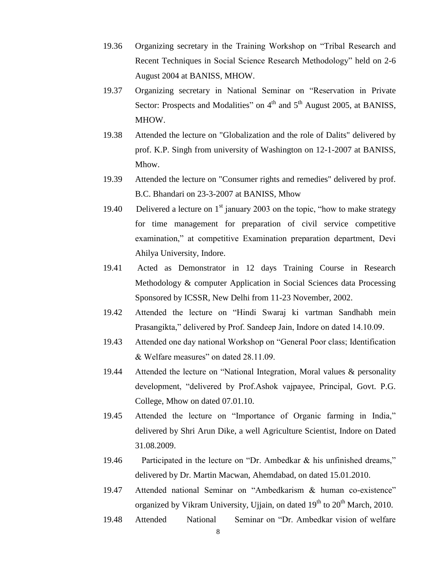- 19.36 Organizing secretary in the Training Workshop on "Tribal Research and Recent Techniques in Social Science Research Methodology" held on 2-6 August 2004 at BANISS, MHOW.
- 19.37 Organizing secretary in National Seminar on "Reservation in Private Sector: Prospects and Modalities" on  $4<sup>th</sup>$  and  $5<sup>th</sup>$  August 2005, at BANISS, MHOW.
- 19.38 Attended the lecture on "Globalization and the role of Dalits" delivered by prof. K.P. Singh from university of Washington on 12-1-2007 at BANISS, Mhow.
- 19.39 Attended the lecture on "Consumer rights and remedies" delivered by prof. B.C. Bhandari on 23-3-2007 at BANISS, Mhow
- 19.40 Delivered a lecture on  $1<sup>st</sup>$  january 2003 on the topic, "how to make strategy for time management for preparation of civil service competitive examination," at competitive Examination preparation department, Devi Ahilya University, Indore.
- 19.41 Acted as Demonstrator in 12 days Training Course in Research Methodology & computer Application in Social Sciences data Processing Sponsored by ICSSR, New Delhi from 11-23 November, 2002.
- 19.42 Attended the lecture on "Hindi Swaraj ki vartman Sandhabh mein Prasangikta," delivered by Prof. Sandeep Jain, Indore on dated 14.10.09.
- 19.43 Attended one day national Workshop on "General Poor class; Identification & Welfare measures" on dated 28.11.09.
- 19.44 Attended the lecture on "National Integration, Moral values & personality development, "delivered by Prof.Ashok vajpayee, Principal, Govt. P.G. College, Mhow on dated 07.01.10.
- 19.45 Attended the lecture on "Importance of Organic farming in India," delivered by Shri Arun Dike, a well Agriculture Scientist, Indore on Dated 31.08.2009.
- 19.46 Participated in the lecture on "Dr. Ambedkar & his unfinished dreams," delivered by Dr. Martin Macwan, Ahemdabad, on dated 15.01.2010.
- 19.47 Attended national Seminar on "Ambedkarism & human co-existence" organized by Vikram University, Ujjain, on dated  $19<sup>th</sup>$  to  $20<sup>th</sup>$  March, 2010.
- 19.48 Attended National Seminar on "Dr. Ambedkar vision of welfare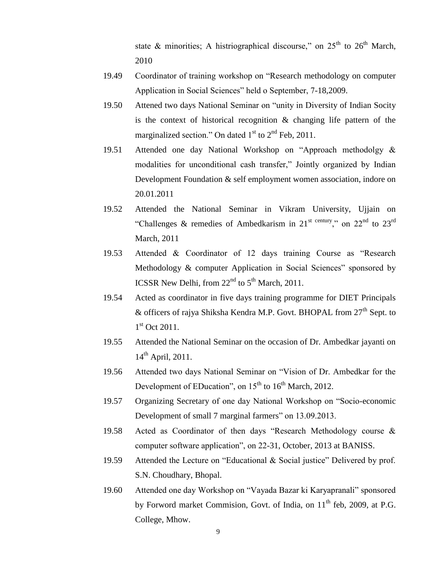state & minorities; A histriographical discourse," on  $25<sup>th</sup>$  to  $26<sup>th</sup>$  March, 2010

- 19.49 Coordinator of training workshop on "Research methodology on computer Application in Social Sciences" held o September, 7-18,2009.
- 19.50 Attened two days National Seminar on "unity in Diversity of Indian Socity is the context of historical recognition & changing life pattern of the marginalized section." On dated  $1<sup>st</sup>$  to  $2<sup>nd</sup>$  Feb, 2011.
- 19.51 Attended one day National Workshop on "Approach methodolgy & modalities for unconditional cash transfer," Jointly organized by Indian Development Foundation & self employment women association, indore on 20.01.2011
- 19.52 Attended the National Seminar in Vikram University, Ujjain on "Challenges & remedies of Ambedkarism in 21<sup>st century</sup>," on 22<sup>nd</sup> to 23<sup>rd</sup> March, 2011
- 19.53 Attended & Coordinator of 12 days training Course as "Research Methodology & computer Application in Social Sciences" sponsored by ICSSR New Delhi, from  $22<sup>nd</sup>$  to  $5<sup>th</sup>$  March, 2011.
- 19.54 Acted as coordinator in five days training programme for DIET Principals & officers of rajya Shiksha Kendra M.P. Govt. BHOPAL from  $27<sup>th</sup>$  Sept. to 1<sup>st</sup> Oct 2011.
- 19.55 Attended the National Seminar on the occasion of Dr. Ambedkar jayanti on  $14^{\text{th}}$  April, 2011.
- 19.56 Attended two days National Seminar on "Vision of Dr. Ambedkar for the Development of EDucation", on  $15<sup>th</sup>$  to  $16<sup>th</sup>$  March, 2012.
- 19.57 Organizing Secretary of one day National Workshop on "Socio-economic Development of small 7 marginal farmers" on 13.09.2013.
- 19.58 Acted as Coordinator of then days "Research Methodology course & computer software application", on 22-31, October, 2013 at BANISS.
- 19.59 Attended the Lecture on "Educational & Social justice" Delivered by prof. S.N. Choudhary, Bhopal.
- 19.60 Attended one day Workshop on "Vayada Bazar ki Karyapranali" sponsored by Forword market Commision, Govt. of India, on 11<sup>th</sup> feb, 2009, at P.G. College, Mhow.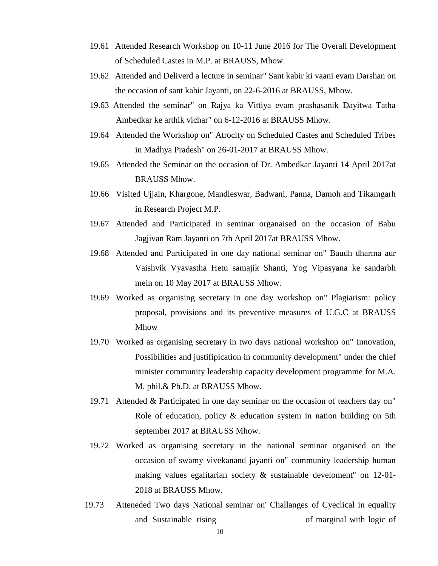- 19.61 Attended Research Workshop on 10-11 June 2016 for The Overall Development of Scheduled Castes in M.P. at BRAUSS, Mhow.
- 19.62 Attended and Deliverd a lecture in seminar" Sant kabir ki vaani evam Darshan on the occasion of sant kabir Jayanti, on 22-6-2016 at BRAUSS, Mhow.
- 19.63 Attended the seminar" on Rajya ka Vittiya evam prashasanik Dayitwa Tatha Ambedkar ke arthik vichar" on 6-12-2016 at BRAUSS Mhow.
- 19.64 Attended the Workshop on" Atrocity on Scheduled Castes and Scheduled Tribes in Madhya Pradesh" on 26-01-2017 at BRAUSS Mhow.
- 19.65 Attended the Seminar on the occasion of Dr. Ambedkar Jayanti 14 April 2017at BRAUSS Mhow.
- 19.66 Visited Ujjain, Khargone, Mandleswar, Badwani, Panna, Damoh and Tikamgarh in Research Project M.P.
- 19.67 Attended and Participated in seminar organaised on the occasion of Babu Jagjivan Ram Jayanti on 7th April 2017at BRAUSS Mhow.
- 19.68 Attended and Participated in one day national seminar on" Baudh dharma aur Vaishvik Vyavastha Hetu samajik Shanti, Yog Vipasyana ke sandarbh mein on 10 May 2017 at BRAUSS Mhow.
- 19.69 Worked as organising secretary in one day workshop on" Plagiarism: policy proposal, provisions and its preventive measures of U.G.C at BRAUSS Mhow
- 19.70 Worked as organising secretary in two days national workshop on" Innovation, Possibilities and justifipication in community development" under the chief minister community leadership capacity development programme for M.A. M. phil.& Ph.D. at BRAUSS Mhow.
- 19.71 Attended & Participated in one day seminar on the occasion of teachers day on" Role of education, policy & education system in nation building on 5th september 2017 at BRAUSS Mhow.
- 19.72 Worked as organising secretary in the national seminar organised on the occasion of swamy vivekanand jayanti on" community leadership human making values egalitarian society & sustainable develoment" on 12-01- 2018 at BRAUSS Mhow.
- 19.73 Atteneded Two days National seminar on' Challanges of Cyeclical in equality and Sustainable rising of marginal with logic of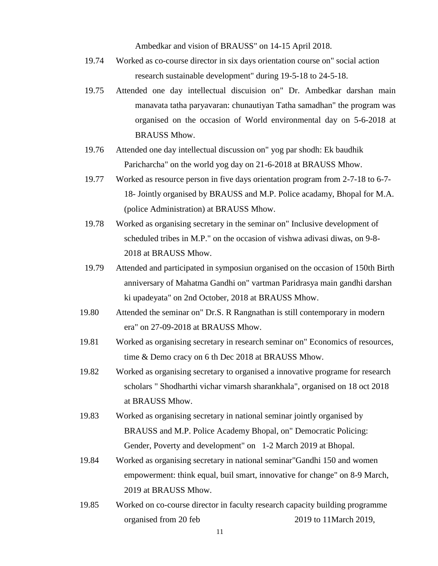Ambedkar and vision of BRAUSS" on 14-15 April 2018.

- 19.74 Worked as co-course director in six days orientation course on" social action research sustainable development" during 19-5-18 to 24-5-18.
- 19.75 Attended one day intellectual discuision on" Dr. Ambedkar darshan main manavata tatha paryavaran: chunautiyan Tatha samadhan" the program was organised on the occasion of World environmental day on 5-6-2018 at BRAUSS Mhow.
- 19.76 Attended one day intellectual discussion on" yog par shodh: Ek baudhik Paricharcha" on the world yog day on 21-6-2018 at BRAUSS Mhow.
- 19.77 Worked as resource person in five days orientation program from 2-7-18 to 6-7- 18- Jointly organised by BRAUSS and M.P. Police acadamy, Bhopal for M.A. (police Administration) at BRAUSS Mhow.
- 19.78 Worked as organising secretary in the seminar on" Inclusive development of scheduled tribes in M.P." on the occasion of vishwa adivasi diwas, on 9-8- 2018 at BRAUSS Mhow.
- 19.79 Attended and participated in symposiun organised on the occasion of 150th Birth anniversary of Mahatma Gandhi on" vartman Paridrasya main gandhi darshan ki upadeyata" on 2nd October, 2018 at BRAUSS Mhow.
- 19.80 Attended the seminar on" Dr.S. R Rangnathan is still contemporary in modern era" on 27-09-2018 at BRAUSS Mhow.
- 19.81 Worked as organising secretary in research seminar on" Economics of resources, time & Demo cracy on 6 th Dec 2018 at BRAUSS Mhow.
- 19.82 Worked as organising secretary to organised a innovative programe for research scholars " Shodharthi vichar vimarsh sharankhala", organised on 18 oct 2018 at BRAUSS Mhow.
- 19.83 Worked as organising secretary in national seminar jointly organised by BRAUSS and M.P. Police Academy Bhopal, on" Democratic Policing: Gender, Poverty and development" on 1-2 March 2019 at Bhopal.
- 19.84 Worked as organising secretary in national seminar"Gandhi 150 and women empowerment: think equal, buil smart, innovative for change" on 8-9 March, 2019 at BRAUSS Mhow.
- 19.85 Worked on co-course director in faculty research capacity building programme organised from 20 feb 2019 to 11March 2019,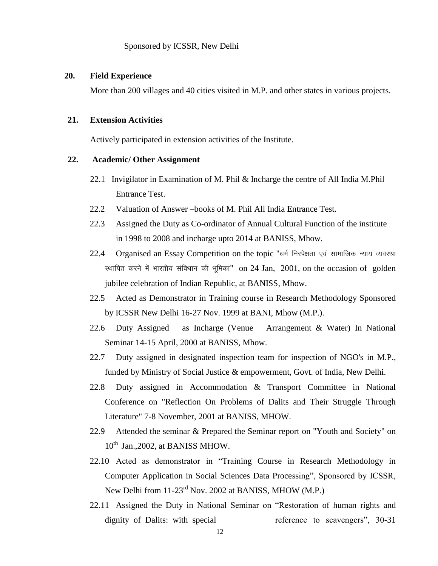### **20. Field Experience**

More than 200 villages and 40 cities visited in M.P. and other states in various projects.

#### **21. Extension Activities**

Actively participated in extension activities of the Institute.

#### **22. Academic/ Other Assignment**

- 22.1 Invigilator in Examination of M. Phil & Incharge the centre of All India M.Phil Entrance Test.
- 22.2 Valuation of Answer –books of M. Phil All India Entrance Test.
- 22.3 Assigned the Duty as Co-ordinator of Annual Cultural Function of the institute in 1998 to 2008 and incharge upto 2014 at BANISS, Mhow.
- 22.4 Organised an Essay Competition on the topic "धर्म निरपेक्षता एवं सामाजिक न्याय व्यवस्था स्थापित करने में भारतीय संविधान की भूमिका" on 24 Jan, 2001, on the occasion of golden jubilee celebration of Indian Republic, at BANISS, Mhow.
- 22.5 Acted as Demonstrator in Training course in Research Methodology Sponsored by ICSSR New Delhi 16-27 Nov. 1999 at BANI, Mhow (M.P.).
- 22.6 Duty Assigned as Incharge (Venue Arrangement & Water) In National Seminar 14-15 April, 2000 at BANISS, Mhow.
- 22.7 Duty assigned in designated inspection team for inspection of NGO's in M.P., funded by Ministry of Social Justice & empowerment, Govt. of India, New Delhi.
- 22.8 Duty assigned in Accommodation & Transport Committee in National Conference on "Reflection On Problems of Dalits and Their Struggle Through Literature" 7-8 November, 2001 at BANISS, MHOW.
- 22.9 Attended the seminar & Prepared the Seminar report on "Youth and Society" on 10<sup>th</sup> Jan., 2002, at BANISS MHOW.
- 22.10 Acted as demonstrator in "Training Course in Research Methodology in Computer Application in Social Sciences Data Processing", Sponsored by ICSSR, New Delhi from 11-23<sup>rd</sup> Nov. 2002 at BANISS, MHOW (M.P.)
- 22.11 Assigned the Duty in National Seminar on "Restoration of human rights and dignity of Dalits: with special reference to scavengers", 30-31